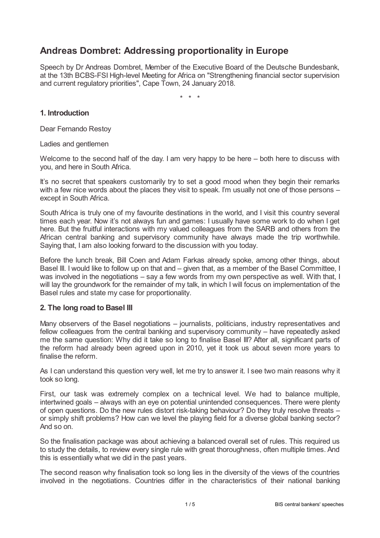# **Andreas Dombret: Addressing proportionality in Europe**

Speech by Dr Andreas Dombret, Member of the Executive Board of the Deutsche Bundesbank, at the 13th BCBS-FSI High-level Meeting for Africa on "Strengthening financial sector supervision and current regulatory priorities", Cape Town, 24 January 2018.

\* \* \*

### **1. Introduction**

Dear Fernando Restoy

Ladies and gentlemen

Welcome to the second half of the day. I am very happy to be here – both here to discuss with you, and here in South Africa.

It's no secret that speakers customarily try to set a good mood when they begin their remarks with a few nice words about the places they visit to speak. I'm usually not one of those persons – except in South Africa.

South Africa is truly one of my favourite destinations in the world, and I visit this country several times each year. Now it's not always fun and games: I usually have some work to do when I get here. But the fruitful interactions with my valued colleagues from the SARB and others from the African central banking and supervisory community have always made the trip worthwhile. Saying that, I am also looking forward to the discussion with you today.

Before the lunch break, Bill Coen and Adam Farkas already spoke, among other things, about Basel III. I would like to follow up on that and – given that, as a member of the Basel Committee, I was involved in the negotiations – say a few words from my own perspective as well. With that, I will lay the groundwork for the remainder of my talk, in which I will focus on implementation of the Basel rules and state my case for proportionality.

#### **2. The long road to Basel III**

Many observers of the Basel negotiations – journalists, politicians, industry representatives and fellow colleagues from the central banking and supervisory community – have repeatedly asked me the same question: Why did it take so long to finalise Basel III? After all, significant parts of the reform had already been agreed upon in 2010, yet it took us about seven more years to finalise the reform.

As I can understand this question very well, let me try to answer it. I see two main reasons why it took so long.

First, our task was extremely complex on a technical level. We had to balance multiple, intertwined goals – always with an eye on potential unintended consequences. There were plenty of open questions. Do the new rules distort risk-taking behaviour? Do they truly resolve threats – or simply shift problems? How can we level the playing field for a diverse global banking sector? And so on.

So the finalisation package was about achieving a balanced overall set of rules. This required us to study the details, to review every single rule with great thoroughness, often multiple times. And this is essentially what we did in the past years.

The second reason why finalisation took so long lies in the diversity of the views of the countries involved in the negotiations. Countries differ in the characteristics of their national banking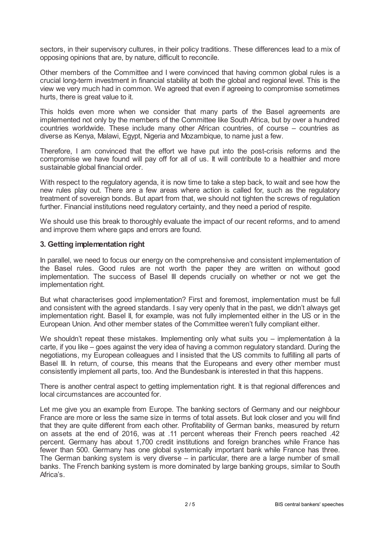sectors, in their supervisory cultures, in their policy traditions. These differences lead to a mix of opposing opinions that are, by nature, difficult to reconcile.

Other members of the Committee and I were convinced that having common global rules is a crucial long-term investment in financial stability at both the global and regional level. This is the view we very much had in common. We agreed that even if agreeing to compromise sometimes hurts, there is great value to it.

This holds even more when we consider that many parts of the Basel agreements are implemented not only by the members of the Committee like South Africa, but by over a hundred countries worldwide. These include many other African countries, of course – countries as diverse as Kenya, Malawi, Egypt, Nigeria and Mozambique, to name just a few.

Therefore, I am convinced that the effort we have put into the post-crisis reforms and the compromise we have found will pay off for all of us. It will contribute to a healthier and more sustainable global financial order.

With respect to the regulatory agenda, it is now time to take a step back, to wait and see how the new rules play out. There are a few areas where action is called for, such as the regulatory treatment of sovereign bonds. But apart from that, we should not tighten the screws of regulation further. Financial institutions need regulatory certainty, and they need a period of respite.

We should use this break to thoroughly evaluate the impact of our recent reforms, and to amend and improve them where gaps and errors are found.

#### **3. Getting implementation right**

In parallel, we need to focus our energy on the comprehensive and consistent implementation of the Basel rules. Good rules are not worth the paper they are written on without good implementation. The success of Basel III depends crucially on whether or not we get the implementation right.

But what characterises good implementation? First and foremost, implementation must be full and consistent with the agreed standards. I say very openly that in the past, we didn't always get implementation right. Basel II, for example, was not fully implemented either in the US or in the European Union. And other member states of the Committee weren't fully compliant either.

We shouldn't repeat these mistakes. Implementing only what suits you – implementation à la carte, if you like – goes against the very idea of having a common regulatory standard. During the negotiations, my European colleagues and I insisted that the US commits to fulfilling all parts of Basel III. In return, of course, this means that the Europeans and every other member must consistently implement all parts, too. And the Bundesbank is interested in that this happens.

There is another central aspect to getting implementation right. It is that regional differences and local circumstances are accounted for.

Let me give you an example from Europe. The banking sectors of Germany and our neighbour France are more or less the same size in terms of total assets. But look closer and you will find that they are quite different from each other. Profitability of German banks, measured by return on assets at the end of 2016, was at .11 percent whereas their French peers reached .42 percent. Germany has about 1,700 credit institutions and foreign branches while France has fewer than 500. Germany has one global systemically important bank while France has three. The German banking system is very diverse – in particular, there are a large number of small banks. The French banking system is more dominated by large banking groups, similar to South Africa's.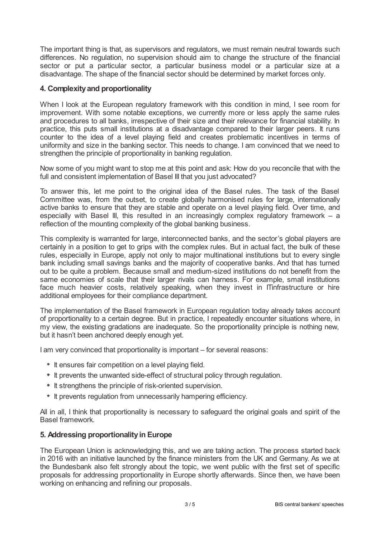The important thing is that, as supervisors and regulators, we must remain neutral towards such differences. No regulation, no supervision should aim to change the structure of the financial sector or put a particular sector, a particular business model or a particular size at a disadvantage. The shape of the financial sector should be determined by market forces only.

## **4. Complexityand proportionality**

When I look at the European regulatory framework with this condition in mind, I see room for improvement. With some notable exceptions, we currently more or less apply the same rules and procedures to all banks, irrespective of their size and their relevance for financial stability. In practice, this puts small institutions at a disadvantage compared to their larger peers. It runs counter to the idea of a level playing field and creates problematic incentives in terms of uniformity and size in the banking sector. This needs to change. I am convinced that we need to strengthen the principle of proportionality in banking regulation.

Now some of you might want to stop me at this point and ask: How do you reconcile that with the full and consistent implementation of Basel III that you just advocated?

To answer this, let me point to the original idea of the Basel rules. The task of the Basel Committee was, from the outset, to create globally harmonised rules for large, internationally active banks to ensure that they are stable and operate on a level playing field. Over time, and especially with Basel III, this resulted in an increasingly complex regulatory framework – a reflection of the mounting complexity of the global banking business.

This complexity is warranted for large, interconnected banks, and the sector's global players are certainly in a position to get to grips with the complex rules. But in actual fact, the bulk of these rules, especially in Europe, apply not only to major multinational institutions but to every single bank including small savings banks and the majority of cooperative banks. And that has turned out to be quite a problem. Because small and medium-sized institutions do not benefit from the same economies of scale that their larger rivals can harness. For example, small institutions face much heavier costs, relatively speaking, when they invest in ITinfrastructure or hire additional employees for their compliance department.

The implementation of the Basel framework in European regulation today already takes account of proportionality to a certain degree. But in practice, I repeatedly encounter situations where, in my view, the existing gradations are inadequate. So the proportionality principle is nothing new, but it hasn't been anchored deeply enough yet.

I am very convinced that proportionality is important – for several reasons:

- $*$  It ensures fair competition on a level playing field.
- $*$  It prevents the unwanted side-effect of structural policy through regulation.
- $*$  It strengthens the principle of risk-oriented supervision.
- $*$  It prevents regulation from unnecessarily hampering efficiency.

All in all, I think that proportionality is necessary to safeguard the original goals and spirit of the Basel framework.

#### **5. Addressing proportionalityin Europe**

The European Union is acknowledging this, and we are taking action. The process started back in 2016 with an initiative launched by the finance ministers from the UK and Germany. As we at the Bundesbank also felt strongly about the topic, we went public with the first set of specific proposals for addressing proportionality in Europe shortly afterwards. Since then, we have been working on enhancing and refining our proposals.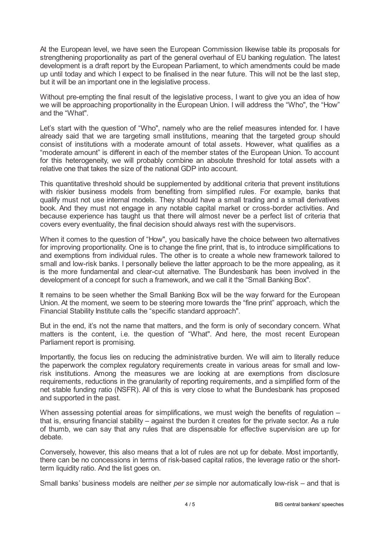At the European level, we have seen the European Commission likewise table its proposals for strengthening proportionality as part of the general overhaul of EU banking regulation. The latest development is a draft report by the European Parliament, to which amendments could be made up until today and which I expect to be finalised in the near future. This will not be the last step, but it will be an important one in the legislative process.

Without pre-empting the final result of the legislative process, I want to give you an idea of how we will be approaching proportionality in the European Union. I will address the "Who", the "How" and the "What".

Let's start with the question of "Who", namely who are the relief measures intended for. I have already said that we are targeting small institutions, meaning that the targeted group should consist of institutions with a moderate amount of total assets. However, what qualifies as a "moderate amount" is different in each of the member states of the European Union. To account for this heterogeneity, we will probably combine an absolute threshold for total assets with a relative one that takes the size of the national GDP into account.

This quantitative threshold should be supplemented by additional criteria that prevent institutions with riskier business models from benefiting from simplified rules. For example, banks that qualify must not use internal models. They should have a small trading and a small derivatives book. And they must not engage in any notable capital market or cross-border activities. And because experience has taught us that there will almost never be a perfect list of criteria that covers every eventuality, the final decision should always rest with the supervisors.

When it comes to the question of "How", you basically have the choice between two alternatives for improving proportionality. One is to change the fine print, that is, to introduce simplifications to and exemptions from individual rules. The other is to create a whole new framework tailored to small and low-risk banks. I personally believe the latter approach to be the more appealing, as it is the more fundamental and clear-cut alternative. The Bundesbank has been involved in the development of a concept for such a framework, and we call it the "Small Banking Box".

It remains to be seen whether the Small Banking Box will be the way forward for the European Union. At the moment, we seem to be steering more towards the "fine print" approach, which the Financial Stability Institute calls the "specific standard approach".

But in the end, it's not the name that matters, and the form is only of secondary concern. What matters is the content, i.e. the question of "What". And here, the most recent European Parliament report is promising.

Importantly, the focus lies on reducing the administrative burden. We will aim to literally reduce the paperwork the complex regulatory requirements create in various areas for small and lowrisk institutions. Among the measures we are looking at are exemptions from disclosure requirements, reductions in the granularity of reporting requirements, and a simplified form of the net stable funding ratio (NSFR). All of this is very close to what the Bundesbank has proposed and supported in the past.

When assessing potential areas for simplifications, we must weigh the benefits of regulation – that is, ensuring financial stability – against the burden it creates for the private sector. As a rule of thumb, we can say that any rules that are dispensable for effective supervision are up for debate.

Conversely, however, this also means that a lot of rules are not up for debate. Most importantly, there can be no concessions in terms of risk-based capital ratios, the leverage ratio or the shortterm liquidity ratio. And the list goes on.

Small banks' business models are neither *per se* simple nor automatically low-risk – and that is